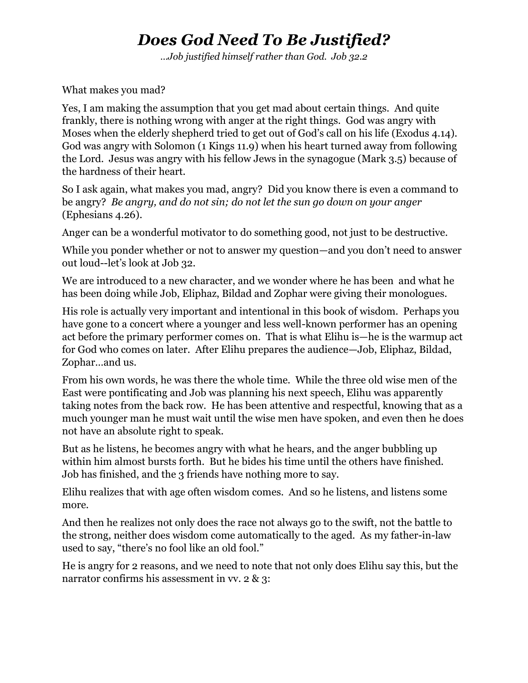## *Does God Need To Be Justified?*

*…Job justified himself rather than God. Job 32.2*

What makes you mad?

Yes, I am making the assumption that you get mad about certain things. And quite frankly, there is nothing wrong with anger at the right things. God was angry with Moses when the elderly shepherd tried to get out of God's call on his life (Exodus 4.14). God was angry with Solomon (1 Kings 11.9) when his heart turned away from following the Lord. Jesus was angry with his fellow Jews in the synagogue (Mark 3.5) because of the hardness of their heart.

So I ask again, what makes you mad, angry? Did you know there is even a command to be angry? *Be angry, and do not sin; do not let the sun go down on your anger* (Ephesians 4.26).

Anger can be a wonderful motivator to do something good, not just to be destructive.

While you ponder whether or not to answer my question—and you don't need to answer out loud--let's look at Job 32.

We are introduced to a new character, and we wonder where he has been and what he has been doing while Job, Eliphaz, Bildad and Zophar were giving their monologues.

His role is actually very important and intentional in this book of wisdom. Perhaps you have gone to a concert where a younger and less well-known performer has an opening act before the primary performer comes on. That is what Elihu is—he is the warmup act for God who comes on later. After Elihu prepares the audience—Job, Eliphaz, Bildad, Zophar…and us.

From his own words, he was there the whole time. While the three old wise men of the East were pontificating and Job was planning his next speech, Elihu was apparently taking notes from the back row. He has been attentive and respectful, knowing that as a much younger man he must wait until the wise men have spoken, and even then he does not have an absolute right to speak.

But as he listens, he becomes angry with what he hears, and the anger bubbling up within him almost bursts forth. But he bides his time until the others have finished. Job has finished, and the 3 friends have nothing more to say.

Elihu realizes that with age often wisdom comes. And so he listens, and listens some more.

And then he realizes not only does the race not always go to the swift, not the battle to the strong, neither does wisdom come automatically to the aged. As my father-in-law used to say, "there's no fool like an old fool."

He is angry for 2 reasons, and we need to note that not only does Elihu say this, but the narrator confirms his assessment in vv. 2 & 3: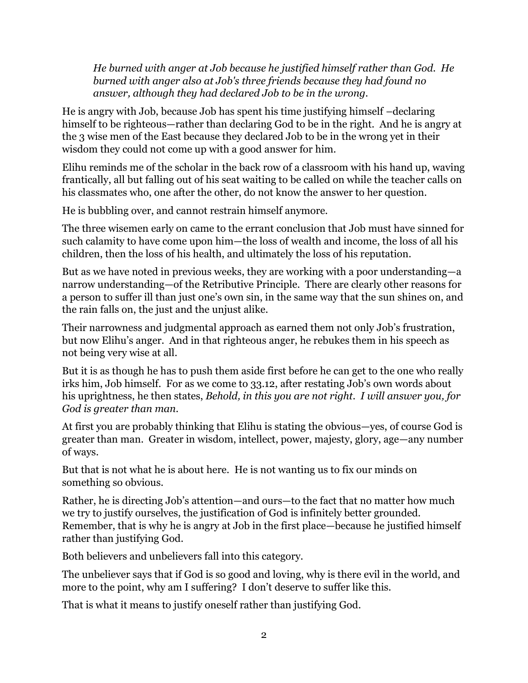*He burned with anger at Job because he justified himself rather than God. He burned with anger also at Job's three friends because they had found no answer, although they had declared Job to be in the wrong.* 

He is angry with Job, because Job has spent his time justifying himself –declaring himself to be righteous—rather than declaring God to be in the right. And he is angry at the 3 wise men of the East because they declared Job to be in the wrong yet in their wisdom they could not come up with a good answer for him.

Elihu reminds me of the scholar in the back row of a classroom with his hand up, waving frantically, all but falling out of his seat waiting to be called on while the teacher calls on his classmates who, one after the other, do not know the answer to her question.

He is bubbling over, and cannot restrain himself anymore.

The three wisemen early on came to the errant conclusion that Job must have sinned for such calamity to have come upon him—the loss of wealth and income, the loss of all his children, then the loss of his health, and ultimately the loss of his reputation.

But as we have noted in previous weeks, they are working with a poor understanding—a narrow understanding—of the Retributive Principle. There are clearly other reasons for a person to suffer ill than just one's own sin, in the same way that the sun shines on, and the rain falls on, the just and the unjust alike.

Their narrowness and judgmental approach as earned them not only Job's frustration, but now Elihu's anger. And in that righteous anger, he rebukes them in his speech as not being very wise at all.

But it is as though he has to push them aside first before he can get to the one who really irks him, Job himself. For as we come to 33.12, after restating Job's own words about his uprightness, he then states, *Behold, in this you are not right. I will answer you, for God is greater than man.*

At first you are probably thinking that Elihu is stating the obvious—yes, of course God is greater than man. Greater in wisdom, intellect, power, majesty, glory, age—any number of ways.

But that is not what he is about here. He is not wanting us to fix our minds on something so obvious.

Rather, he is directing Job's attention—and ours—to the fact that no matter how much we try to justify ourselves, the justification of God is infinitely better grounded. Remember, that is why he is angry at Job in the first place—because he justified himself rather than justifying God.

Both believers and unbelievers fall into this category.

The unbeliever says that if God is so good and loving, why is there evil in the world, and more to the point, why am I suffering? I don't deserve to suffer like this.

That is what it means to justify oneself rather than justifying God.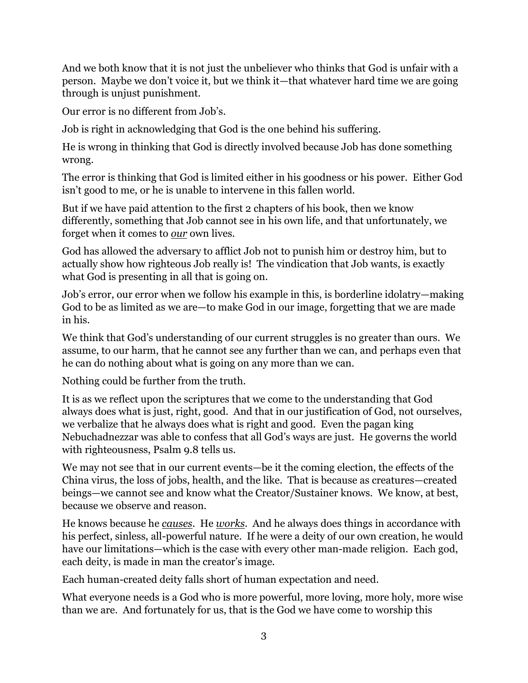And we both know that it is not just the unbeliever who thinks that God is unfair with a person. Maybe we don't voice it, but we think it—that whatever hard time we are going through is unjust punishment.

Our error is no different from Job's.

Job is right in acknowledging that God is the one behind his suffering.

He is wrong in thinking that God is directly involved because Job has done something wrong.

The error is thinking that God is limited either in his goodness or his power. Either God isn't good to me, or he is unable to intervene in this fallen world.

But if we have paid attention to the first 2 chapters of his book, then we know differently, something that Job cannot see in his own life, and that unfortunately, we forget when it comes to *our* own lives.

God has allowed the adversary to afflict Job not to punish him or destroy him, but to actually show how righteous Job really is! The vindication that Job wants, is exactly what God is presenting in all that is going on.

Job's error, our error when we follow his example in this, is borderline idolatry—making God to be as limited as we are—to make God in our image, forgetting that we are made in his.

We think that God's understanding of our current struggles is no greater than ours. We assume, to our harm, that he cannot see any further than we can, and perhaps even that he can do nothing about what is going on any more than we can.

Nothing could be further from the truth.

It is as we reflect upon the scriptures that we come to the understanding that God always does what is just, right, good. And that in our justification of God, not ourselves, we verbalize that he always does what is right and good. Even the pagan king Nebuchadnezzar was able to confess that all God's ways are just. He governs the world with righteousness, Psalm 9.8 tells us.

We may not see that in our current events—be it the coming election, the effects of the China virus, the loss of jobs, health, and the like. That is because as creatures—created beings—we cannot see and know what the Creator/Sustainer knows. We know, at best, because we observe and reason.

He knows because he *causes*. He *works*. And he always does things in accordance with his perfect, sinless, all-powerful nature. If he were a deity of our own creation, he would have our limitations—which is the case with every other man-made religion. Each god, each deity, is made in man the creator's image.

Each human-created deity falls short of human expectation and need.

What everyone needs is a God who is more powerful, more loving, more holy, more wise than we are. And fortunately for us, that is the God we have come to worship this